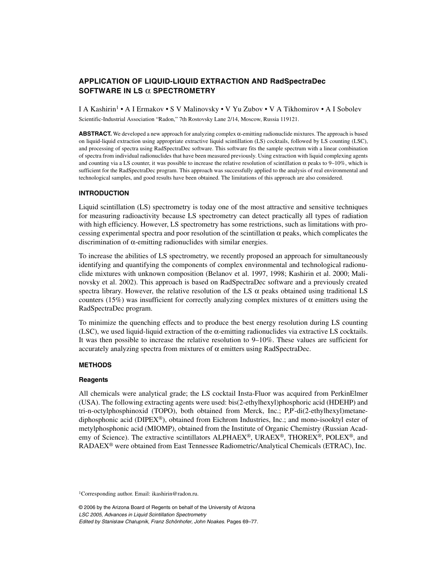# **APPLICATION OF LIQUID-LIQUID EXTRACTION AND RadSpectraDec SOFTWARE IN LS** α **SPECTROMETRY**

I A Kashirin<sup>1</sup> • A I Ermakov • S V Malinovsky • V Yu Zubov • V A Tikhomirov • A I Sobolev

Scientific-Industrial Association "Radon," 7th Rostovsky Lane 2/14, Moscow, Russia 119121.

**ABSTRACT.** We developed a new approach for analyzing complex α-emitting radionuclide mixtures. The approach is based on liquid-liquid extraction using appropriate extractive liquid scintillation (LS) cocktails, followed by LS counting (LSC), and processing of spectra using RadSpectraDec software. This software fits the sample spectrum with a linear combination of spectra from individual radionuclides that have been measured previously. Using extraction with liquid complexing agents and counting via a LS counter, it was possible to increase the relative resolution of scintillation  $\alpha$  peaks to 9–10%, which is sufficient for the RadSpectraDec program. This approach was successfully applied to the analysis of real environmental and technological samples, and good results have been obtained. The limitations of this approach are also considered.

# **INTRODUCTION**

Liquid scintillation (LS) spectrometry is today one of the most attractive and sensitive techniques for measuring radioactivity because LS spectrometry can detect practically all types of radiation with high efficiency. However, LS spectrometry has some restrictions, such as limitations with processing experimental spectra and poor resolution of the scintillation  $\alpha$  peaks, which complicates the discrimination of α-emitting radionuclides with similar energies.

To increase the abilities of LS spectrometry, we recently proposed an approach for simultaneously identifying and quantifying the components of complex environmental and technological radionuclide mixtures with unknown composition (Belanov et al. 1997, 1998; Kashirin et al. 2000; Malinovsky et al. 2002). This approach is based on RadSpectraDec software and a previously created spectra library. However, the relative resolution of the LS  $\alpha$  peaks obtained using traditional LS counters (15%) was insufficient for correctly analyzing complex mixtures of α emitters using the RadSpectraDec program.

To minimize the quenching effects and to produce the best energy resolution during LS counting (LSC), we used liquid-liquid extraction of the α-emitting radionuclides via extractive LS cocktails. It was then possible to increase the relative resolution to 9–10%. These values are sufficient for accurately analyzing spectra from mixtures of  $\alpha$  emitters using RadSpectraDec.

# **METHODS**

#### **Reagents**

All chemicals were analytical grade; the LS cocktail Insta-Fluor was acquired from PerkinElmer (USA). The following extracting agents were used: bis(2-ethylhexyl)phosphoric acid (HDEHP) and tri-n-octylphosphinoxid (TOPO), both obtained from Merck, Inc.; P,P' -di(2-ethylhexyl)metanediphosphonic acid (DIPEX®), obtained from Eichrom Industries, Inc.; and mono-isooktyl ester of metylphosphonic acid (MIOMP), obtained from the Institute of Organic Chemistry (Russian Academy of Science). The extractive scintillators ALPHAEX®, URAEX®, THOREX®, POLEX®, and RADAEX® were obtained from East Tennessee Radiometric/Analytical Chemicals (ETRAC), Inc.

1Corresponding author. Email: ikashirin@radon.ru.

© 2006 by the Arizona Board of Regents on behalf of the University of Arizona LSC 2005, Advances in Liquid Scintillation Spectrometry Edited by Stanis*≥*aw Cha*≥*upnik, Franz Schönhofer, John Noakes. Pages 69–77.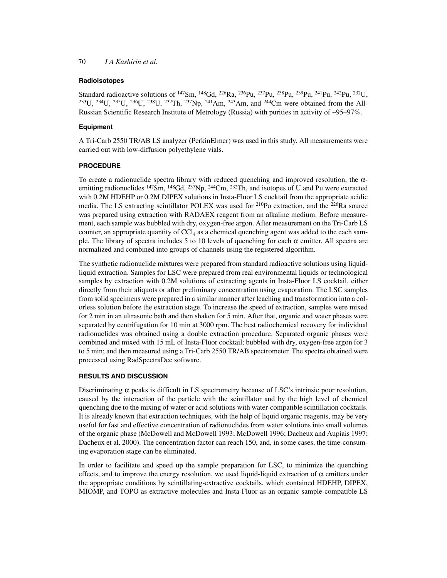# **Radioisotopes**

Standard radioactive solutions of  $^{147}Sm$ ,  $^{148}Gd$ ,  $^{226}Ra$ ,  $^{236}Pu$ ,  $^{238}Pu$ ,  $^{238}Pu$ ,  $^{241}Pu$ ,  $^{242}Pu$ ,  $^{232}U$ ,  $^{233}$ U,  $^{234}$ U,  $^{235}$ U,  $^{236}$ U,  $^{238}$ U,  $^{232}$ Th,  $^{237}$ Np,  $^{241}$ Am,  $^{243}$ Am, and  $^{244}$ Cm were obtained from the All-Russian Scientific Research Institute of Metrology (Russia) with purities in activity of ~95–97%.

# **Equipment**

A Tri-Carb 2550 TR/AB LS analyzer (PerkinElmer) was used in this study. All measurements were carried out with low-diffusion polyethylene vials.

# **PROCEDURE**

To create a radionuclide spectra library with reduced quenching and improved resolution, the  $\alpha$ emitting radionuclides  $147Sm$ ,  $148Gd$ ,  $237Np$ ,  $244Cm$ ,  $232Th$ , and isotopes of U and Pu were extracted with 0.2M HDEHP or 0.2M DIPEX solutions in Insta-Fluor LS cocktail from the appropriate acidic media. The LS extracting scintillator POLEX was used for <sup>210</sup>Po extraction, and the <sup>226</sup>Ra source was prepared using extraction with RADAEX reagent from an alkaline medium. Before measurement, each sample was bubbled with dry, oxygen-free argon. After measurement on the Tri-Carb LS counter, an appropriate quantity of  $CCl<sub>4</sub>$  as a chemical quenching agent was added to the each sample. The library of spectra includes 5 to 10 levels of quenching for each  $\alpha$  emitter. All spectra are normalized and combined into groups of channels using the registered algorithm.

The synthetic radionuclide mixtures were prepared from standard radioactive solutions using liquidliquid extraction. Samples for LSC were prepared from real environmental liquids or technological samples by extraction with 0.2M solutions of extracting agents in Insta-Fluor LS cocktail, either directly from their aliquots or after preliminary concentration using evaporation. The LSC samples from solid specimens were prepared in a similar manner after leaching and transformation into a colorless solution before the extraction stage. To increase the speed of extraction, samples were mixed for 2 min in an ultrasonic bath and then shaken for 5 min. After that, organic and water phases were separated by centrifugation for 10 min at 3000 rpm. The best radiochemical recovery for individual radionuclides was obtained using a double extraction procedure. Separated organic phases were combined and mixed with 15 mL of Insta-Fluor cocktail; bubbled with dry, oxygen-free argon for 3 to 5 min; and then measured using a Tri-Carb 2550 TR/AB spectrometer. The spectra obtained were processed using RadSpectraDec software.

# **RESULTS AND DISCUSSION**

Discriminating  $\alpha$  peaks is difficult in LS spectrometry because of LSC's intrinsic poor resolution, caused by the interaction of the particle with the scintillator and by the high level of chemical quenching due to the mixing of water or acid solutions with water-compatible scintillation cocktails. It is already known that extraction techniques, with the help of liquid organic reagents, may be very useful for fast and effective concentration of radionuclides from water solutions into small volumes of the organic phase (McDowell and McDowell 1993; McDowell 1996; Dacheux and Aupiais 1997; Dacheux et al. 2000). The concentration factor can reach 150, and, in some cases, the time-consuming evaporation stage can be eliminated.

In order to facilitate and speed up the sample preparation for LSC, to minimize the quenching effects, and to improve the energy resolution, we used liquid-liquid extraction of  $\alpha$  emitters under the appropriate conditions by scintillating-extractive cocktails, which contained HDEHP, DIPEX, MIOMP, and TOPO as extractive molecules and Insta-Fluor as an organic sample-compatible LS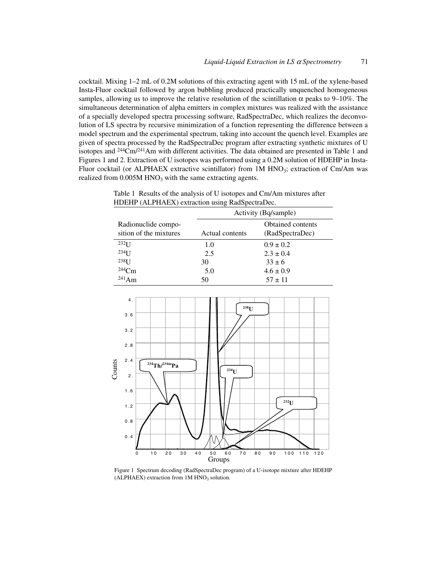cocktail. Mixing 1–2 mL of 0.2M solutions of this extracting agent with 15 mL of the xylene-based Insta-Fluor cocktail followed by argon bubbling produced practically unquenched homogeneous samples, allowing us to improve the relative resolution of the scintillation  $\alpha$  peaks to 9–10%. The simultaneous determination of alpha emitters in complex mixtures was realized with the assistance of a specially developed spectra processing software, RadSpectraDec, which realizes the deconvolution of LS spectra by recursive minimization of a function representing the difference between a model spectrum and the experimental spectrum, taking into account the quench level. Examples are given of spectra processed by the RadSpectraDec program after extracting synthetic mixtures of U isotopes and 244Cm/241Am with different activities. The data obtained are presented in Table 1 and Figures 1 and 2. Extraction of U isotopes was performed using a 0.2M solution of HDEHP in Insta-Fluor cocktail (or ALPHAEX extractive scintillator) from 1M HNO<sub>3</sub>; extraction of Cm/Am was realized from  $0.005M HNO<sub>3</sub>$  with the same extracting agents.

Table 1 Results of the analysis of U isotopes and Cm/Am mixtures after HDEHP (ALPHAEX) extraction using RadSpectraDec.

|                                               | Activity (Bq/sample) |                                             |  |
|-----------------------------------------------|----------------------|---------------------------------------------|--|
| Radionuclide compo-<br>sition of the mixtures | Actual contents      | <b>Obtained contents</b><br>(RadSpectraDec) |  |
| $232$ [ J                                     | 1.0                  | $0.9 \pm 0.2$                               |  |
| $234$ [ J                                     | 2.5                  | $2.3 \pm 0.4$                               |  |
| 238 <sub>IJ</sub>                             | 30                   | $33 \pm 6$                                  |  |
| $244$ Cm                                      | 5.0                  | $4.6 \pm 0.9$                               |  |
| $^{241}Am$                                    | 50                   | $57 \pm 11$                                 |  |



Figure 1 Spectrum decoding (RadSpectraDec program) of a U-isotope mixture after HDEHP  $(ALPHAEX)$  extraction from  $1M HNO<sub>3</sub>$  solution.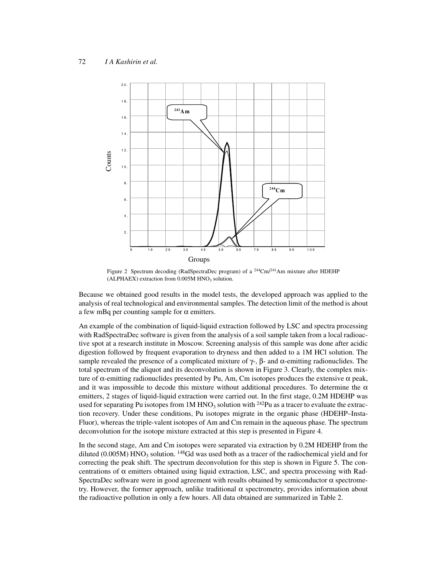

Figure 2 Spectrum decoding (RadSpectraDec program) of a <sup>244</sup>Cm/<sup>241</sup>Am mixture after HDEHP (ALPHAEX) extraction from  $0.005M HNO<sub>3</sub>$  solution.

Because we obtained good results in the model tests, the developed approach was applied to the analysis of real technological and environmental samples. The detection limit of the method is about a few mBq per counting sample for  $\alpha$  emitters.

An example of the combination of liquid-liquid extraction followed by LSC and spectra processing with RadSpectraDec software is given from the analysis of a soil sample taken from a local radioactive spot at a research institute in Moscow. Screening analysis of this sample was done after acidic digestion followed by frequent evaporation to dryness and then added to a 1M HCl solution. The sample revealed the presence of a complicated mixture of  $\gamma$ ,  $\beta$ - and  $\alpha$ -emitting radionuclides. The total spectrum of the aliquot and its deconvolution is shown in Figure 3. Clearly, the complex mixture of α-emitting radionuclides presented by Pu, Am, Cm isotopes produces the extensive α peak, and it was impossible to decode this mixture without additional procedures. To determine the  $\alpha$ emitters, 2 stages of liquid-liquid extraction were carried out. In the first stage, 0.2M HDEHP was used for separating Pu isotopes from  $1M HNO<sub>3</sub>$  solution with <sup>242</sup>Pu as a tracer to evaluate the extraction recovery. Under these conditions, Pu isotopes migrate in the organic phase (HDEHP–Insta-Fluor), whereas the triple-valent isotopes of Am and Cm remain in the aqueous phase. The spectrum deconvolution for the isotope mixture extracted at this step is presented in Figure 4.

In the second stage, Am and Cm isotopes were separated via extraction by 0.2M HDEHP from the diluted (0.005M) HNO<sub>3</sub> solution. <sup>148</sup>Gd was used both as a tracer of the radiochemical yield and for correcting the peak shift. The spectrum deconvolution for this step is shown in Figure 5. The concentrations of  $\alpha$  emitters obtained using liquid extraction, LSC, and spectra processing with Rad-SpectraDec software were in good agreement with results obtained by semiconductor  $\alpha$  spectrometry. However, the former approach, unlike traditional  $\alpha$  spectrometry, provides information about the radioactive pollution in only a few hours. All data obtained are summarized in Table 2.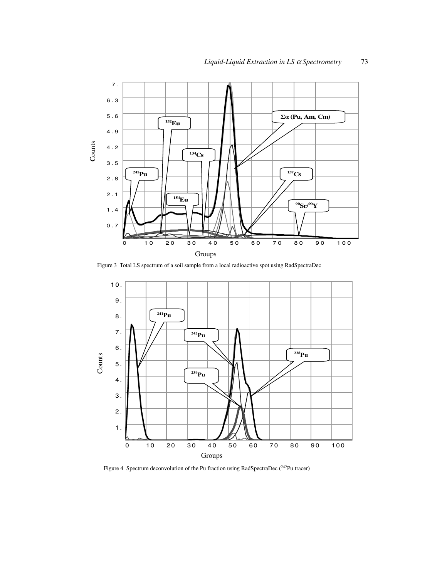



Figure 4 Spectrum deconvolution of the Pu fraction using RadSpectraDec (242Pu tracer)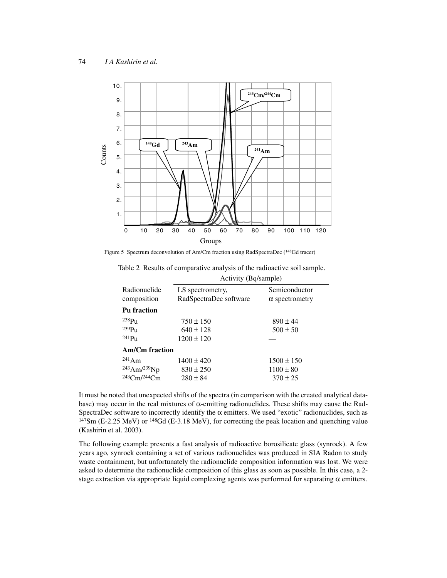

| Table 2 Results of comparative analysis of the radioactive soil sample. |  |  |  |  |
|-------------------------------------------------------------------------|--|--|--|--|
|                                                                         |  |  |  |  |

|                                      | Activity (Bq/sample)   |                       |  |  |
|--------------------------------------|------------------------|-----------------------|--|--|
| Radionuclide                         | LS spectrometry,       | Semiconductor         |  |  |
| composition                          | RadSpectraDec software | $\alpha$ spectrometry |  |  |
| Pu fraction                          |                        |                       |  |  |
| $238P_{11}$                          | $750 \pm 150$          | $890 \pm 44$          |  |  |
| 239P <sub>11</sub>                   | $640 \pm 128$          | $500 \pm 50$          |  |  |
| $241P_{11}$                          | $1200 \pm 120$         |                       |  |  |
| <b>Am/Cm fraction</b>                |                        |                       |  |  |
| $^{241}Am$                           | $1400 \pm 420$         | $1500 \pm 150$        |  |  |
| <sup>243</sup> Am/ <sup>239</sup> Np | $830 \pm 250$          | $1100 \pm 80$         |  |  |
| $^{243}$ Cm/ $^{244}$ Cm             | $280 \pm 84$           | $370 \pm 25$          |  |  |

It must be noted that unexpected shifts of the spectra (in comparison with the created analytical database) may occur in the real mixtures of  $\alpha$ -emitting radionuclides. These shifts may cause the Rad-SpectraDec software to incorrectly identify the  $\alpha$  emitters. We used "exotic" radionuclides, such as 147Sm (E-2.25 MeV) or 148Gd (E-3.18 MeV), for correcting the peak location and quenching value (Kashirin et al. 2003).

The following example presents a fast analysis of radioactive borosilicate glass (synrock). A few years ago, synrock containing a set of various radionuclides was produced in SIA Radon to study waste containment, but unfortunately the radionuclide composition information was lost. We were asked to determine the radionuclide composition of this glass as soon as possible. In this case, a 2 stage extraction via appropriate liquid complexing agents was performed for separating  $\alpha$  emitters.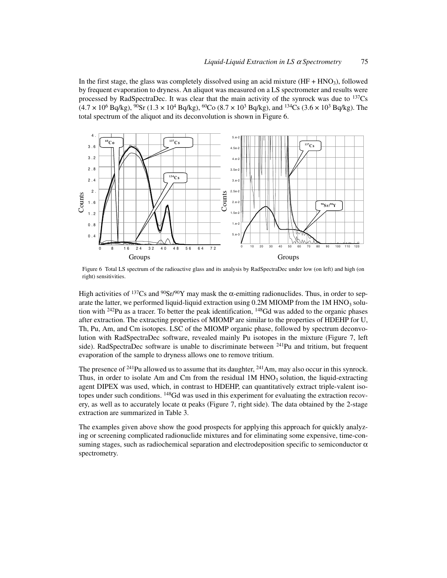In the first stage, the glass was completely dissolved using an acid mixture  $(HF + HNO<sub>3</sub>)$ , followed by frequent evaporation to dryness. An aliquot was measured on a LS spectrometer and results were processed by RadSpectraDec. It was clear that the main activity of the synrock was due to  $137Cs$  $(4.7 \times 10^6 \text{ Bq/kg})$ ,  $90\text{Sr}$   $(1.3 \times 10^4 \text{ Bq/kg})$ ,  $60\text{Co}$   $(8.7 \times 10^3 \text{ Bq/kg})$ , and  $134\text{Cs}$   $(3.6 \times 10^3 \text{ Bq/kg})$ . The total spectrum of the aliquot and its deconvolution is shown in Figure 6.



Figure 6 Total LS spectrum of the radioactive glass and its analysis by RadSpectraDec under low (on left) and high (on right) sensitivities.

High activities of  $137Cs$  and  $90Sr/90Y$  may mask the  $\alpha$ -emitting radionuclides. Thus, in order to separate the latter, we performed liquid-liquid extraction using  $0.2M$  MIOMP from the  $1M$  HNO<sub>3</sub> solution with <sup>242</sup>Pu as a tracer. To better the peak identification, <sup>148</sup>Gd was added to the organic phases after extraction. The extracting properties of MIOMP are similar to the properties of HDEHP for U, Th, Pu, Am, and Cm isotopes. LSC of the MIOMP organic phase, followed by spectrum deconvolution with RadSpectraDec software, revealed mainly Pu isotopes in the mixture (Figure 7, left side). RadSpectraDec software is unable to discriminate between  $^{241}$ Pu and tritium, but frequent evaporation of the sample to dryness allows one to remove tritium.

The presence of <sup>241</sup>Pu allowed us to assume that its daughter, <sup>241</sup>Am, may also occur in this synrock. Thus, in order to isolate Am and Cm from the residual  $1M HNO<sub>3</sub>$  solution, the liquid-extracting agent DIPEX was used, which, in contrast to HDEHP, can quantitatively extract triple-valent isotopes under such conditions. 148Gd was used in this experiment for evaluating the extraction recovery, as well as to accurately locate  $\alpha$  peaks (Figure 7, right side). The data obtained by the 2-stage extraction are summarized in Table 3.

The examples given above show the good prospects for applying this approach for quickly analyzing or screening complicated radionuclide mixtures and for eliminating some expensive, time-consuming stages, such as radiochemical separation and electrodeposition specific to semiconductor  $\alpha$ spectrometry.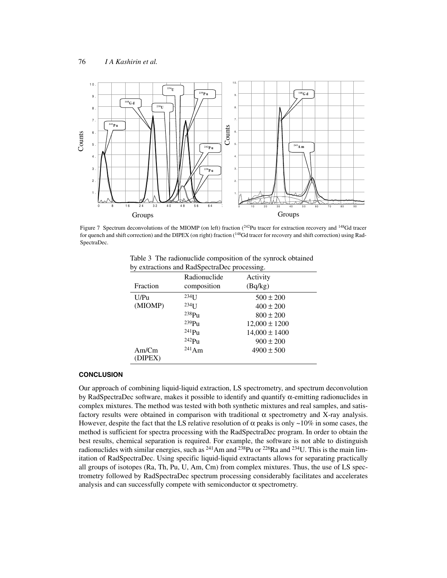

Figure 7 Spectrum deconvolutions of the MIOMP (on left) fraction ( $^{242}$ Pu tracer for extraction recovery and  $^{148}$ Gd tracer for quench and shift correction) and the DIPEX (on right) fraction (<sup>148</sup>Gd tracer for recovery and shift correction) using Rad-SpectraDec.

Table 3 The radionuclide composition of the synrock obtained by extractions and RadSpectraDec processing.

| Fraction         | Radionuclide<br>composition                                               | Activity<br>(Bq/kg)                                                      |
|------------------|---------------------------------------------------------------------------|--------------------------------------------------------------------------|
| U/Pu<br>(MIOMP)  | $234$ T<br>$234$ I J                                                      | $500 \pm 200$<br>$400 \pm 200$                                           |
|                  | 238P <sub>u</sub><br>239P <sub>u</sub><br>$^{241}Pu$<br>242P <sub>u</sub> | $800 \pm 200$<br>$12,000 \pm 1200$<br>$14,000 \pm 1400$<br>$900 \pm 200$ |
| Am/Cm<br>(DIPEX) | $^{241}Am$                                                                | $4900 \pm 500$                                                           |

# **CONCLUSION**

Our approach of combining liquid-liquid extraction, LS spectrometry, and spectrum deconvolution by RadSpectraDec software, makes it possible to identify and quantify  $\alpha$ -emitting radionuclides in complex mixtures. The method was tested with both synthetic mixtures and real samples, and satisfactory results were obtained in comparison with traditional  $\alpha$  spectrometry and X-ray analysis. However, despite the fact that the LS relative resolution of  $\alpha$  peaks is only ~10% in some cases, the method is sufficient for spectra processing with the RadSpectraDec program. In order to obtain the best results, chemical separation is required. For example, the software is not able to distinguish radionuclides with similar energies, such as  $^{241}$ Am and  $^{238}$ Pu or  $^{226}$ Ra and  $^{234}$ U. This is the main limitation of RadSpectraDec. Using specific liquid-liquid extractants allows for separating practically all groups of isotopes (Ra, Th, Pu, U, Am, Cm) from complex mixtures. Thus, the use of LS spectrometry followed by RadSpectraDec spectrum processing considerably facilitates and accelerates analysis and can successfully compete with semiconductor  $\alpha$  spectrometry.